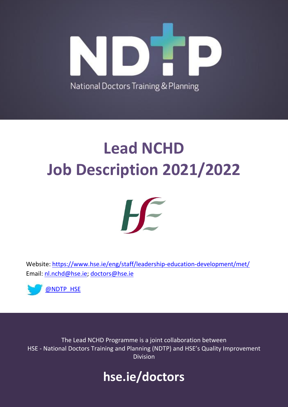

# **Lead NCHD Job Description 2021/2022**



Website:<https://www.hse.ie/eng/staff/leadership-education-development/met/> Email: [nl.nchd@hse.ie;](mailto:nl.nchd@hse.ie) [doctors@hse.ie](mailto:doctors@hse.ie)



The Lead NCHD Programme is a joint collaboration between HSE - National Doctors Training and Planning (NDTP) and HSE's Quality Improvement Division

## **hse.ie/doctors**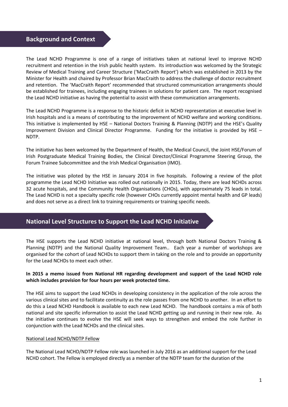### **Background and Context**

The Lead NCHD Programme is one of a range of initiatives taken at national level to improve NCHD recruitment and retention in the Irish public health system. Its introduction was welcomed by the Strategic Review of Medical Training and Career Structure ('MacCraith Report') which was established in 2013 by the Minister for Health and chaired by Professor Brian MacCraith to address the challenge of doctor recruitment and retention. The 'MacCraith Report' recommended that structured communication arrangements should be established for trainees, including engaging trainees in solutions for patient care. The report recognised the Lead NCHD initiative as having the potential to assist with these communication arrangements.

The Lead NCHD Programme is a response to the historic deficit in NCHD representation at executive level in Irish hospitals and is a means of contributing to the improvement of NCHD welfare and working conditions. This initiative is implemented by HSE – National Doctors Training & Planning (NDTP) and the HSE's Quality Improvement Division and Clinical Director Programme. Funding for the initiative is provided by HSE – NDTP.

The initiative has been welcomed by the Department of Health, the Medical Council, the Joint HSE/Forum of Irish Postgraduate Medical Training Bodies, the Clinical Director/Clinical Programme Steering Group, the Forum Trainee Subcommittee and the Irish Medical Organisation (IMO).

The initiative was piloted by the HSE in January 2014 in five hospitals. Following a review of the pilot programme the Lead NCHD Initiative was rolled out nationally in 2015. Today, there are lead NCHDs across 32 acute hospitals, and the Community Health Organisations (CHOs), with approximately 75 leads in total. The Lead NCHD is not a specialty specific role (however CHOs currently appoint mental health and GP leads) and does not serve as a direct link to training requirements or training specific needs.

### **National Level Structures to Support the Lead NCHD Initiative**

The HSE supports the Lead NCHD initiative at national level, through both National Doctors Training & Planning (NDTP) and the National Quality Improvement Team.. Each year a number of workshops are organised for the cohort of Lead NCHDs to support them in taking on the role and to provide an opportunity for the Lead NCHDs to meet each other.

### **In 2015 a memo issued from National HR regarding development and support of the Lead NCHD role which includes provision for four hours per week protected time.**

The HSE aims to support the Lead NCHDs in developing consistency in the application of the role across the various clinical sites and to facilitate continuity as the role passes from one NCHD to another. In an effort to do this a Lead NCHD Handbook is available to each new Lead NCHD. The handbook contains a mix of both national and site specific information to assist the Lead NCHD getting up and running in their new role. As the initiative continues to evolve the HSE will seek ways to strengthen and embed the role further in conjunction with the Lead NCHDs and the clinical sites.

### National Lead NCHD/NDTP Fellow

The National Lead NCHD/NDTP Fellow role was launched in July 2016 as an additional support for the Lead NCHD cohort. The Fellow is employed directly as a member of the NDTP team for the duration of the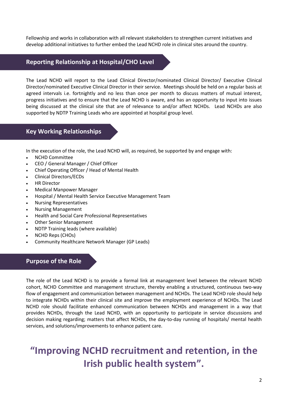Fellowship and works in collaboration with all relevant stakeholders to strengthen current initiatives and develop additional initiatives to further embed the Lead NCHD role in clinical sites around the country.

### **Reporting Relationship at Hospital/CHO Level**

The Lead NCHD will report to the Lead Clinical Director/nominated Clinical Director/ Executive Clinical Director/nominated Executive Clinical Director in their service. Meetings should be held on a regular basis at agreed intervals i.e. fortnightly and no less than once per month to discuss matters of mutual interest, progress initiatives and to ensure that the Lead NCHD is aware, and has an opportunity to input into issues being discussed at the clinical site that are of relevance to and/or affect NCHDs. Lead NCHDs are also supported by NDTP Training Leads who are appointed at hospital group level.

### **Key Working Relationships**

In the execution of the role, the Lead NCHD will, as required, be supported by and engage with:

- NCHD Committee
- CEO / General Manager / Chief Officer
- Chief Operating Officer / Head of Mental Health
- Clinical Directors/ECDs
- HR Director
- Medical Manpower Manager
- Hospital / Mental Health Service Executive Management Team
- Nursing Representatives
- Nursing Management
- Health and Social Care Professional Representatives
- Other Senior Management
- NDTP Training leads (where available)
- NCHD Reps (CHOs)
- Community Healthcare Network Manager (GP Leads)

### **Purpose of the Role**

The role of the Lead NCHD is to provide a formal link at management level between the relevant NCHD cohort, NCHD Committee and management structure, thereby enabling a structured, continuous two-way flow of engagement and communication between management and NCHDs. The Lead NCHD role should help to integrate NCHDs within their clinical site and improve the employment experience of NCHDs. The Lead NCHD role should facilitate enhanced communication between NCHDs and management in a way that provides NCHDs, through the Lead NCHD, with an opportunity to participate in service discussions and decision making regarding; matters that affect NCHDs, the day-to-day running of hospitals/ mental health services, and solutions/improvements to enhance patient care.

### **"Improving NCHD recruitment and retention, in the Irish public health system".**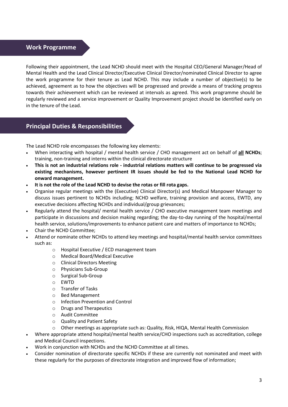### **Work Programme**

Following their appointment, the Lead NCHD should meet with the Hospital CEO/General Manager/Head of Mental Health and the Lead Clinical Director/Executive Clinical Director/nominated Clinical Director to agree the work programme for their tenure as Lead NCHD. This may include a number of objective(s) to be achieved, agreement as to how the objectives will be progressed and provide a means of tracking progress towards their achievement which can be reviewed at intervals as agreed. This work programme should be regularly reviewed and a service improvement or Quality Improvement project should be identified early on in the tenure of the Lead.

### **Principal Duties & Responsibilities**

The Lead NCHD role encompasses the following key elements:

- When interacting with hospital / mental health service / CHO management act on behalf of **all NCHDs**; training, non-training and interns within the clinical directorate structure
- **This is not an industrial relations role - industrial relations matters will continue to be progressed via existing mechanisms, however pertinent IR issues should be fed to the National Lead NCHD for onward management.**
- **It is not the role of the Lead NCHD to devise the rotas or fill rota gaps.**
- Organise regular meetings with the (Executive) Clinical Director(s) and Medical Manpower Manager to discuss issues pertinent to NCHDs including; NCHD welfare, training provision and access, EWTD, any executive decisions affecting NCHDs and individual/group grievances;
- Regularly attend the hospital/ mental health service / CHO executive management team meetings and participate in discussions and decision making regarding; the day-to-day running of the hospital/mental health service, solutions/improvements to enhance patient care and matters of importance to NCHDs;
- Chair the NCHD Committee;
- Attend or nominate other NCHDs to attend key meetings and hospital/mental health service committees such as:
	- o Hospital Executive / ECD management team
	- o Medical Board/Medical Executive
	- o Clinical Directors Meeting
	- o Physicians Sub-Group
	- o Surgical Sub-Group
	- o EWTD
	- o Transfer of Tasks
	- o Bed Management
	- o Infection Prevention and Control
	- o Drugs and Therapeutics
	- o Audit Committee
	- o Quality and Patient Safety
	- o Other meetings as appropriate such as: Quality, Risk, HIQA, Mental Health Commission
- Where appropriate attend hospital/mental health service/CHO inspections such as accreditation, college and Medical Council inspections.
- Work in conjunction with NCHDs and the NCHD Committee at all times.
- Consider nomination of directorate specific NCHDs if these are currently not nominated and meet with these regularly for the purposes of directorate integration and improved flow of information;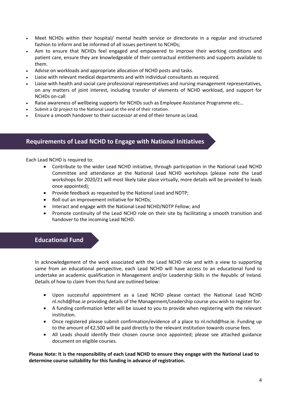- Meet NCHDs within their hospital/ mental health service or directorate in a regular and structured fashion to inform and be informed of all issues pertinent to NCHDs;
- Aim to ensure that NCHDs feel engaged and empowered to improve their working conditions and patient care, ensure they are knowledgeable of their contractual entitlements and supports available to them.
- Advise on workloads and appropriate allocation of NCHD posts and tasks.
- Liaise with relevant medical departments and with individual consultants as required.
- Liaise with health and social care professional representatives and nursing management representatives, on any matters of joint interest, including transfer of elements of NCHD workload, and support for NCHDs on-call
- Raise awareness of wellbeing supports for NCHDs such as Employee Assistance Programme etc…
- Submit a QI project to the National Lead at the end of their rotation.
- Ensure a smooth handover to their successor at end of their tenure as Lead.

### **Requirements of Lead NCHD to Engage with National Initiatives**

Each Lead NCHD is required to:

- Contribute to the wider Lead NCHD initiative, through participation in the National Lead NCHD Committee and attendance at the National Lead NCHD workshops (please note the Lead workshops for 2020/21 will most likely take place virtually, more details will be provided to leads once appointed);
- Provide feedback as requested by the National Lead and NDTP;
- Roll out an improvement initiative for NCHDs;
- Interact and engage with the National Lead NCHD/NDTP Fellow; and
- Promote continuity of the Lead NCHD role on their site by facilitating a smooth transition and handover to the incoming Lead NCHD.

### **Educational Fund**

In acknowledgement of the work associated with the Lead NCHD role and with a view to supporting same from an educational perspective, each Lead NCHD will have access to an educational fund to undertake an academic qualification in Management and/or Leadership Skills in the Republic of Ireland. Details of how to claim from this fund are outlined below:

- Upon successful appointment as a Lead NCHD please contact the National Lead NCHD [nl.nchd@hse.ie](mailto:nl.nchd@hse.ie) providing details of the Management/Leadership course you wish to register for.
- A funding confirmation letter will be issued to you to provide when registering with the relevant institution.
- Once registered please submit confirmation/evidence of a place to [nl.nchd@hse.ie.](mailto:nl.nchd@hse.ie) Funding up to the amount of  $\epsilon$ 2,500 will be paid directly to the relevant institution towards course fees.
- All Leads should identify their chosen course once appointed; please see attached guidance document on eligible courses.

**Please Note: It is the responsibility of each Lead NCHD to ensure they engage with the National Lead to determine course suitability for this funding in advance of registration.**